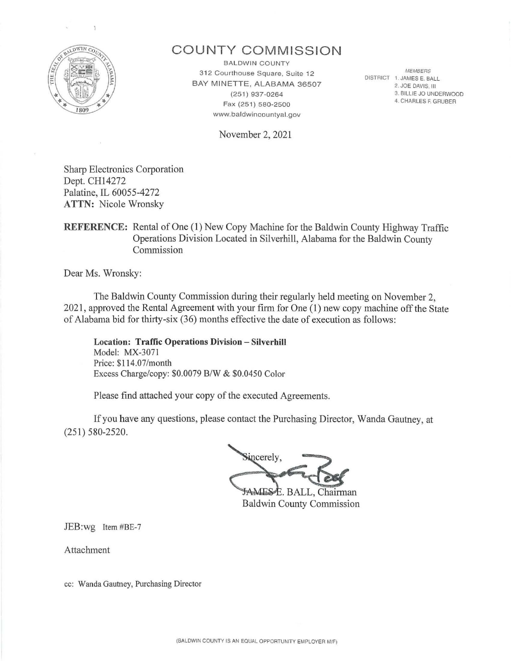

## **COUNTY COMMISSION**

**BALDWIN COUNTY** 3 12 Courthouse Square, Suite 12 BAY MINETTE, ALABAMA 36507 (251) 937-0264 Fax (251) 580-2500 www.baldwincountyal.gov

November 2, 2021

**MEMBERS** DISTRICT 1. JAMES E. BALL 2. JOE DAVIS, Ill 3. BILLIE JO UNDERWOOD 4. CHARLES F. GRUBER

Sharp Electronics Corporation Dept. CH14272 Palatine, IL 60055-4272 **ATTN:** Nicole Wronsky

### **REFERENCE:** Rental of One **(1)** New Copy Machine for the Baldwin County Highway Traffic Operations Division Located in Silverhill, Alabama for the Baldwin County Commission

Dear Ms. Wronsky:

The Baldwin County Commission during their regularly held meeting on November 2, 2021 , approved the Rental Agreement with your firm for One (1) new copy machine off the State of Alabama bid for thirty-six  $(36)$  months effective the date of execution as follows:

**Location: Traffic Operations Division - Silverhill**  Model: MX-3071 Price: \$114.07/month Excess Charge/copy: \$0.0079 B/W & \$0.0450 Color

Please find attached your copy of the executed Agreements.

If you have any questions, please contact the Purchasing Director, Wanda Gautney, at (251) 580-2520.

incerely, **JAMESE, BALL, Chairman** 

**Baldwin County Commission** 

JEB:wg Item #BE-7

Attachment

cc: Wanda Gautney, Purchasing Director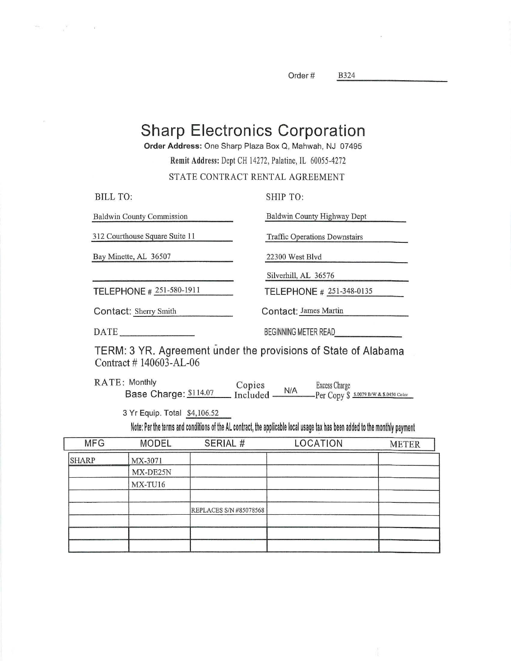Order#

**B324** 

# **Sharp Electronics Corporation**

Order Address: One Sharp Plaza Box Q, Mahwah, NJ 07495

Remit Address: Dept CH 14272, Palatine, IL 60055-4272

#### STATE CONTRACT RENTAL AGREEMENT

| <b>BILL TO:</b>                  | SHIP TO:                             |
|----------------------------------|--------------------------------------|
| <b>Baldwin County Commission</b> | Baldwin County Highway Dept          |
| 312 Courthouse Square Suite 11   | <b>Traffic Operations Downstairs</b> |
| Bay Minette, AL 36507            | 22300 West Blyd                      |
|                                  | Silverhill, AL 36576                 |
| TELEPHONE # 251-580-1911         | TELEPHONE # 251-348-0135             |
| Contact: Sherry Smith            | Contact: James Martin                |
| DATE                             | BEGINNING METER READ                 |

TERM: 3 YR. Agreement under the provisions of State of Alabama Contract #140603-AL-06

**RATE: Monthly** Copies<br>Included **Excess Charge**  $N/A$ Base Charge: \$114.07 Per Copy \$ 5.0079 B/W & \$.0450 Color

3 Yr Equip. Total \$4,106.52

Note: Per the terms and conditions of the AL contract, the applicable local usage tax has been added to the monthly payment

| <b>MFG</b>   | <b>MODEL</b> | SERIAL #                      | LOCATION | <b>METER</b> |
|--------------|--------------|-------------------------------|----------|--------------|
| <b>SHARP</b> | MX-3071      |                               |          |              |
|              | MX-DE25N     |                               |          |              |
|              | MX-TU16      |                               |          |              |
|              |              | <b>REPLACES S/N #85078568</b> |          |              |
|              |              |                               |          |              |
|              |              |                               |          |              |